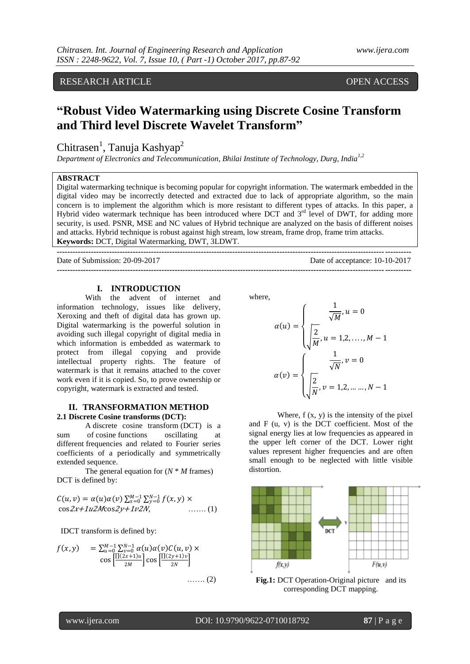RESEARCH ARTICLE OPEN ACCESS

# **"Robust Video Watermarking using Discrete Cosine Transform and Third level Discrete Wavelet Transform"**

# Chitrasen<sup>1</sup>, Tanuja Kashyap<sup>2</sup>

*Department of Electronics and Telecommunication, Bhilai Institute of Technology, Durg, India1,2*

# **ABSTRACT**

Digital watermarking technique is becoming popular for copyright information. The watermark embedded in the digital video may be incorrectly detected and extracted due to lack of appropriate algorithm, so the main concern is to implement the algorithm which is more resistant to different types of attacks. In this paper, a Hybrid video watermark technique has been introduced where DCT and  $3<sup>rd</sup>$  level of DWT, for adding more security, is used. PSNR, MSE and NC values of Hybrid technique are analyzed on the basis of different noises and attacks. Hybrid technique is robust against high stream, low stream, frame drop, frame trim attacks. **Keywords:** DCT, Digital Watermarking, DWT, 3LDWT.

**---------------------------------------------------------------------------------------------------------------------------------------**

**---------------------------------------------------------------------------------------------------------------------------------------** Date of Submission: 20-09-2017 Date of acceptance: 10-10-2017

# **I. INTRODUCTION**

With the advent of internet and information technology, issues like delivery, Xeroxing and theft of digital data has grown up. Digital watermarking is the powerful solution in avoiding such illegal copyright of digital media in which information is embedded as watermark to protect from illegal copying and provide intellectual property rights. The feature of watermark is that it remains attached to the cover work even if it is copied. So, to prove ownership or copyright, watermark is extracted and tested.

#### **II. TRANSFORMATION METHOD 2.1 Discrete Cosine transforms (DCT):**

A discrete cosine transform (DCT) is a sum of cosine functions oscillating at different frequencies and related to Fourier series coefficients of a periodically and symmetrically extended sequence.

The general equation for  $(N * M)$  frames) DCT is defined by:

$$
C(u, v) = \alpha(u)\alpha(v) \sum_{x=0}^{M-1} \sum_{y=0}^{N-1} f(x, y) \times \cos 2x + 1u2M \cos 2y + 1v2N, \quad \dots \dots (1)
$$

IDCT transform is defined by:

$$
f(x,y) = \sum_{u=0}^{M-1} \sum_{v=0}^{N-1} \alpha(u) \alpha(v) C(u,v) \times \cos\left[\frac{\prod(2x+1)u}{2M}\right] \cos\left[\frac{\prod(2y+1)v}{2N}\right] \dots \dots \dots (2)
$$

where,

$$
\alpha(u) = \begin{cases}\n\frac{1}{\sqrt{M}}, u = 0 \\
\frac{2}{M}, u = 1, 2, \dots, M - 1\n\end{cases}
$$
\n
$$
\alpha(v) = \begin{cases}\n\frac{1}{\sqrt{N}}, v = 0 \\
\frac{2}{N}, v = 1, 2, \dots, N - 1\n\end{cases}
$$

Where,  $f(x, y)$  is the intensity of the pixel and F (u, v) is the DCT coefficient. Most of the signal energy lies at low frequencies as appeared in the upper left corner of the DCT. Lower right values represent higher frequencies and are often small enough to be neglected with little visible distortion.



**Fig.1:** DCT Operation-Original picture and its corresponding DCT mapping.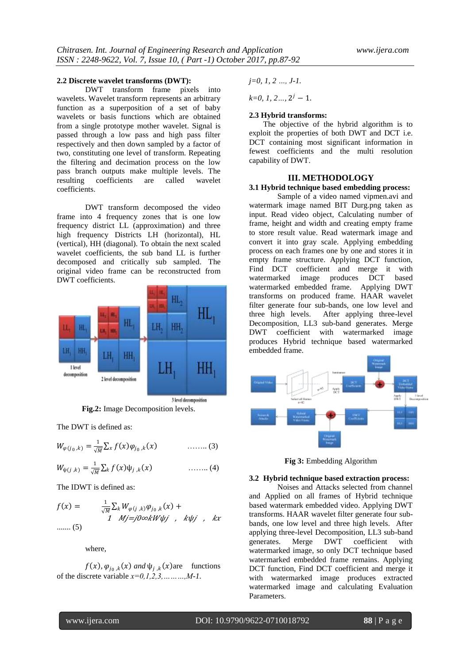#### **2.2 Discrete wavelet transforms (DWT):**

DWT transform frame pixels into wavelets. Wavelet transform represents an arbitrary function as a superposition of a set of baby wavelets or basis functions which are obtained from a single prototype mother wavelet. Signal is passed through a low pass and high pass filter respectively and then down sampled by a factor of two, constituting one level of transform. Repeating the filtering and decimation process on the low pass branch outputs make multiple levels. The resulting coefficients are called wavelet coefficients.

DWT transform decomposed the video frame into 4 frequency zones that is one low frequency district LL (approximation) and three high frequency Districts LH (horizontal), HL (vertical), HH (diagonal). To obtain the next scaled wavelet coefficients, the sub band LL is further decomposed and critically sub sampled. The original video frame can be reconstructed from DWT coefficients.



**Fig.2:** Image Decomposition levels.

3 level decomposition

The DWT is defined as:

$$
W_{\varphi(j_0,k)} = \frac{1}{\sqrt{M}} \sum_{x} f(x) \varphi_{j_0,k}(x) \qquad \qquad \ldots \ldots (3)
$$

$$
W_{\psi(j,k)} = \frac{1}{\sqrt{M}} \sum_{k} f(x) \psi_{j,k}(x) \qquad \qquad \ldots \ldots (4)
$$

The IDWT is defined as:

$$
f(x) = \frac{1}{\sqrt{M}} \sum_{k} W_{\varphi(j,k)} \varphi_{j_0,k}(x) +
$$
  
1  $Mj = j0 \infty k W \psi j$ ,  $k \psi j$ ,  $kx$   
...... (5)

where,

 $f(x)$ ,  $\varphi_{j_0,k}(x)$  *and*  $\psi_{j,k}(x)$  are functions of the discrete variable *x=0,1,2,3,………,M-1.*

*j=0, 1, 2 …, J-1.*

 $k=0, 1, 2..., 2<sup>j</sup> - 1.$ 

#### **2.3 Hybrid transforms:**

The objective of the hybrid algorithm is to exploit the properties of both DWT and DCT i.e. DCT containing most significant information in fewest coefficients and the multi resolution capability of DWT.

#### **III. METHODOLOGY**

#### **3.1 Hybrid technique based embedding process:**

Sample of a video named vipmen.avi and watermark image named BIT Durg.png taken as input. Read video object, Calculating number of frame, height and width and creating empty frame to store result value. Read watermark image and convert it into gray scale. Applying embedding process on each frames one by one and stores it in empty frame structure. Applying DCT function, Find DCT coefficient and merge it with watermarked image produces DCT based watermarked embedded frame. Applying DWT transforms on produced frame. HAAR wavelet filter generate four sub-bands, one low level and three high levels. After applying three-level Decomposition, LL3 sub-band generates. Merge DWT coefficient with watermarked image produces Hybrid technique based watermarked embedded frame.



**Fig 3:** Embedding Algorithm

#### **3.2 Hybrid technique based extraction process:**

Noises and Attacks selected from channel and Applied on all frames of Hybrid technique based watermark embedded video. Applying DWT transforms. HAAR wavelet filter generate four subbands, one low level and three high levels. After applying three-level Decomposition, LL3 sub-band generates. Merge DWT coefficient with watermarked image, so only DCT technique based watermarked embedded frame remains. Applying DCT function, Find DCT coefficient and merge it with watermarked image produces extracted watermarked image and calculating Evaluation Parameters.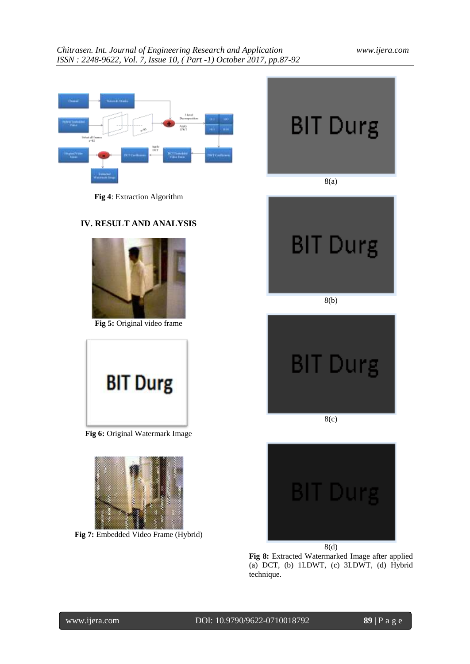# *Chitrasen. Int. Journal of Engineering Research and Application www.ijera.com ISSN : 2248-9622, Vol. 7, Issue 10, ( Part -1) October 2017, pp.87-92*

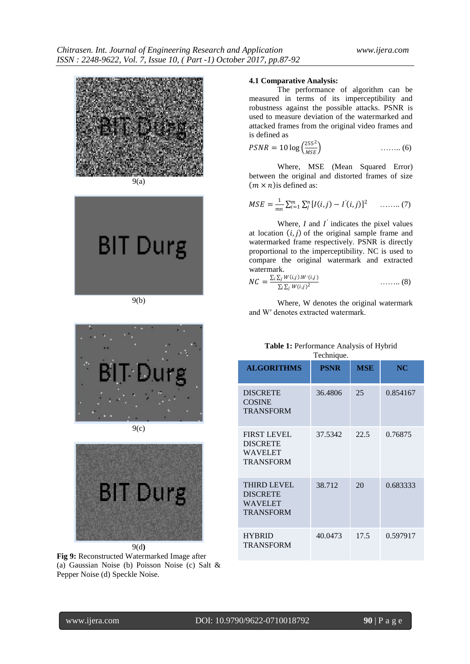

9(a)





9(c)



**Fig 9:** Reconstructed Watermarked Image after (a) Gaussian Noise (b) Poisson Noise (c) Salt & Pepper Noise (d) Speckle Noise.

### **4.1 Comparative Analysis:**

The performance of algorithm can be measured in terms of its imperceptibility and robustness against the possible attacks. PSNR is used to measure deviation of the watermarked and attacked frames from the original video frames and is defined as

$$
PSNR = 10 \log \left( \frac{255^2}{MSE} \right) \tag{6}
$$

Where, MSE (Mean Squared Error) between the original and distorted frames of size  $(m \times n)$  is defined as:

$$
MSE = \frac{1}{mn} \sum_{i=1}^{m} \sum_{j=1}^{n} [I(i,j) - I'(i,j)]^2 \quad \dots \dots \dots (7)
$$

Where,  $I$  and  $I'$  indicates the pixel values at location  $(i, j)$  of the original sample frame and watermarked frame respectively. PSNR is directly proportional to the imperceptibility. NC is used to compare the original watermark and extracted watermark.

$$
NC = \frac{\sum_{i} \sum_{j} W(i,j) . W'(i,j)}{\sum_{i} \sum_{j} W(i,j)^2}
$$
 (8)

Where, W denotes the original watermark and W′ denotes extracted watermark.

| Table 1: Performance Analysis of Hybrid |
|-----------------------------------------|
| Technique.                              |

| <b>ALGORITHMS</b>                                                           | <b>PSNR</b> | <b>MSE</b> | NC       |
|-----------------------------------------------------------------------------|-------------|------------|----------|
| <b>DISCRETE</b><br><b>COSINE</b><br><b>TRANSFORM</b>                        | 36.4806     | 25         | 0.854167 |
| <b>FIRST LEVEL</b><br><b>DISCRETE</b><br><b>WAVELET</b><br><b>TRANSFORM</b> | 37.5342     | 22.5       | 0.76875  |
| <b>THIRD LEVEL</b><br><b>DISCRETE</b><br><b>WAVELET</b><br>TRANSFORM        | 38.712      | 20         | 0.683333 |
| <b>HYBRID</b><br><b>TRANSFORM</b>                                           | 40.0473     | 17.5       | 0.597917 |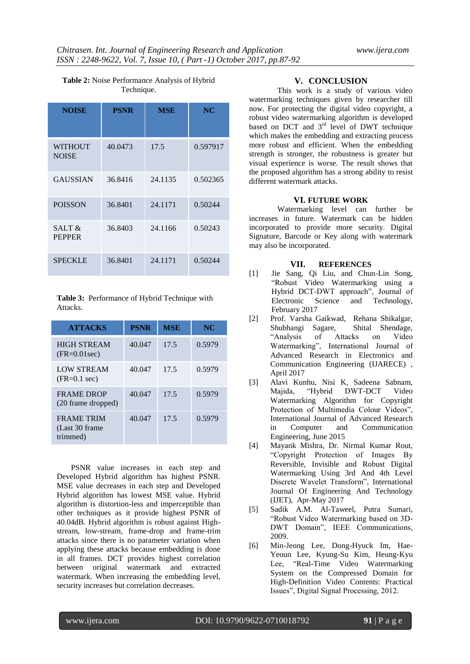| <b>NOISE</b>                   | <b>PSNR</b> | <b>MSE</b> | NC       |
|--------------------------------|-------------|------------|----------|
| <b>WITHOUT</b><br><b>NOISE</b> | 40.0473     | 17.5       | 0.597917 |
| <b>GAUSSIAN</b>                | 36.8416     | 24.1135    | 0.502365 |
| <b>POISSON</b>                 | 36.8401     | 24.1171    | 0.50244  |
| SALT &<br><b>PEPPER</b>        | 36.8403     | 24.1166    | 0.50243  |
| <b>SPECKLE</b>                 | 36.8401     | 24.1171    | 0.50244  |

### **Table 2:** Noise Performance Analysis of Hybrid Technique.

**Table 3:** Performance of Hybrid Technique with Attacks.

| <b>ATTACKS</b>                                   | <b>PSNR</b> | <b>MSE</b> | NC     |
|--------------------------------------------------|-------------|------------|--------|
| <b>HIGH STREAM</b><br>$(FR=0.01sec)$             | 40.047      | 17.5       | 0.5979 |
| <b>LOW STREAM</b><br>$(FR=0.1 \text{ sec})$      | 40.047      | 17.5       | 0.5979 |
| <b>FRAME DROP</b><br>(20 frame dropped)          | 40.047      | 17.5       | 0.5979 |
| <b>FRAME TRIM</b><br>(Last 30 frame)<br>trimmed) | 40.047      | 17.5       | 0.5979 |

PSNR value increases in each step and Developed Hybrid algorithm has highest PSNR. MSE value decreases in each step and Developed Hybrid algorithm has lowest MSE value. Hybrid algorithm is distortion-less and imperceptible than other techniques as it provide highest PSNR of 40.04dB. Hybrid algorithm is robust against Highstream, low-stream, frame-drop and frame-trim attacks since there is no parameter variation when applying these attacks because embedding is done in all frames. DCT provides highest correlation between original watermark and extracted watermark. When increasing the embedding level, security increases but correlation decreases.

# **V. CONCLUSION**

This work is a study of various video watermarking techniques given by researcher till now. For protecting the digital video copyright, a robust video watermarking algorithm is developed based on DCT and  $3<sup>rd</sup>$  level of DWT technique which makes the embedding and extracting process more robust and efficient. When the embedding strength is stronger, the robustness is greater but visual experience is worse. The result shows that the proposed algorithm has a strong ability to resist different watermark attacks.

## **VI. FUTURE WORK**

Watermarking level can further be increases in future. Watermark can be hidden incorporated to provide more security. Digital Signature, Barcode or Key along with watermark may also be incorporated.

## **VII. REFERENCES**

- [1] Jie Sang, Qi Liu, and Chun-Lin Song, "Robust Video Watermarking using a Hybrid DCT-DWT approach", Journal of Electronic Science and Technology, February 2017
- [2] Prof. Varsha Gaikwad, Rehana Shikalgar, Shubhangi Sagare, Shital Shendage, "Analysis of Attacks on Video Watermarking", International Journal of Advanced Research in Electronics and Communication Engineering (IJARECE) , April 2017
- [3] Alavi Kunhu, Nisi K, Sadeena Sabnam, Majida, "Hybrid DWT-DCT Video Watermarking Algorithm for Copyright Protection of Multimedia Colour Videos", International Journal of Advanced Research in Computer and Communication Engineering, June 2015
- [4] Mayank Mishra, Dr. Nirmal Kumar Rout, "Copyright Protection of Images By Reversible, Invisible and Robust Digital Watermarking Using 3rd And 4th Level Discrete Wavelet Transform", International Journal Of Engineering And Technology (IJET), Apr-May 2017
- [5] Sadik A.M. Al-Taweel, Putra Sumari, "Robust Video Watermarking based on 3D-DWT Domain", IEEE Communications, 2009.
- [6] Min-Jeong Lee, Dong-Hyuck Im, Hae-Yeoun Lee, Kyung-Su Kim, Heung-Kyu Lee, "Real-Time Video Watermarking System on the Compressed Domain for High-Definition Video Contents: Practical Issues", Digital Signal Processing, 2012.